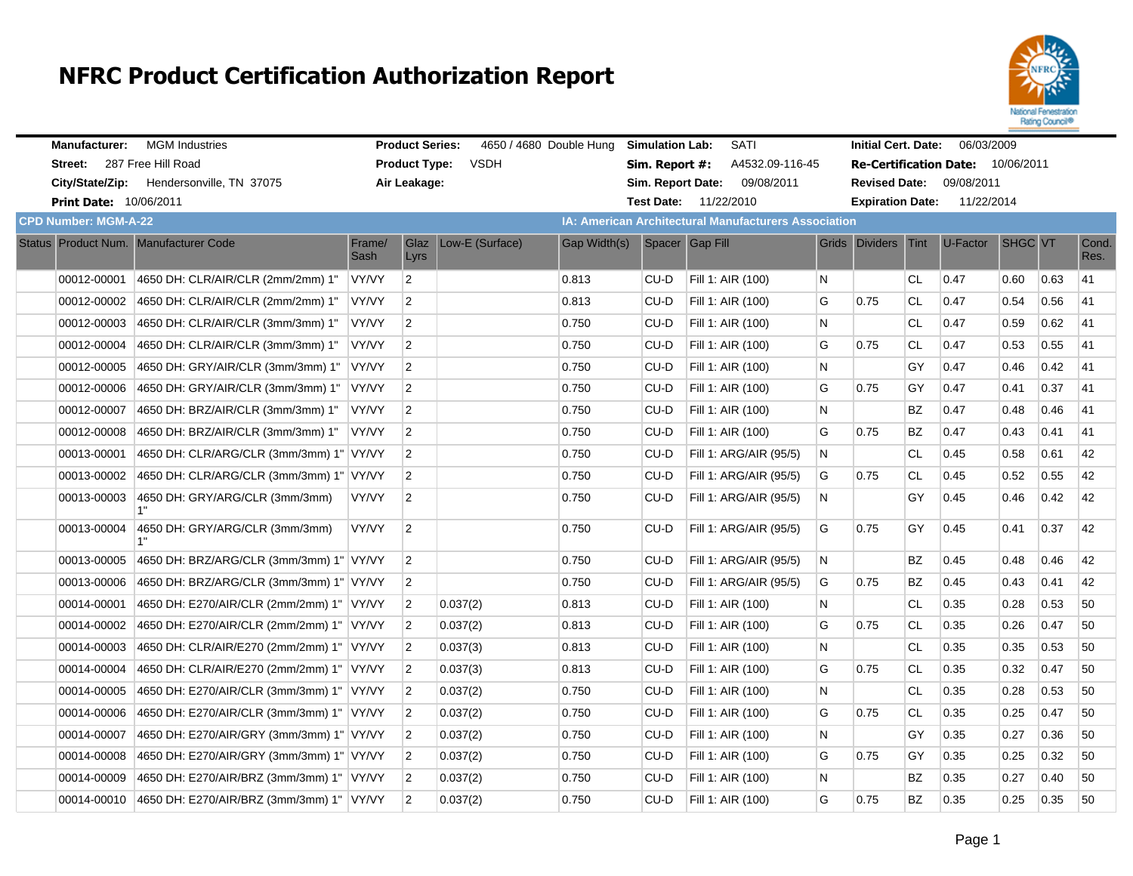

| <b>Manufacturer:</b>          | <b>MGM</b> Industries                    |                | <b>Product Series:</b>  | 4650 / 4680 Double Hung |              | <b>Simulation Lab:</b> | SATI                                                 |   | <b>Initial Cert. Date:</b> |           | 06/03/2009                        |      |      |               |
|-------------------------------|------------------------------------------|----------------|-------------------------|-------------------------|--------------|------------------------|------------------------------------------------------|---|----------------------------|-----------|-----------------------------------|------|------|---------------|
| Street:                       | 287 Free Hill Road                       |                | <b>Product Type:</b>    | <b>VSDH</b>             |              | Sim. Report #:         | A4532.09-116-45                                      |   |                            |           | Re-Certification Date: 10/06/2011 |      |      |               |
|                               | City/State/Zip: Hendersonville, TN 37075 |                | Air Leakage:            |                         |              | Sim. Report Date:      | 09/08/2011                                           |   |                            |           | Revised Date: 09/08/2011          |      |      |               |
| <b>Print Date: 10/06/2011</b> |                                          |                |                         |                         |              |                        | Test Date: 11/22/2010                                |   | <b>Expiration Date:</b>    |           | 11/22/2014                        |      |      |               |
| <b>CPD Number: MGM-A-22</b>   |                                          |                |                         |                         |              |                        | IA: American Architectural Manufacturers Association |   |                            |           |                                   |      |      |               |
|                               | Status Product Num. Manufacturer Code    | Frame/<br>Sash | Glaz<br>Lyrs            | Low-E (Surface)         | Gap Width(s) |                        | Spacer Gap Fill                                      |   | Grids Dividers Tint        |           | U-Factor SHGC VT                  |      |      | Cond.<br>Res. |
| 00012-00001                   | 4650 DH: CLR/AIR/CLR (2mm/2mm) 1"        | <b>VY/VY</b>   | $\sqrt{2}$              |                         | 0.813        | CU-D                   | Fill 1: AIR (100)                                    | N |                            | <b>CL</b> | 0.47                              | 0.60 | 0.63 | 41            |
| 00012-00002                   | 4650 DH: CLR/AIR/CLR (2mm/2mm) 1"        | VY/VY          | $\overline{c}$          |                         | 0.813        | CU-D                   | Fill 1: AIR (100)                                    | G | 0.75                       | <b>CL</b> | 0.47                              | 0.54 | 0.56 | 41            |
| 00012-00003                   | 4650 DH: CLR/AIR/CLR (3mm/3mm) 1"        | <b>VY/VY</b>   | $\overline{c}$          |                         | 0.750        | CU-D                   | Fill 1: AIR (100)                                    | N |                            | <b>CL</b> | 0.47                              | 0.59 | 0.62 | 41            |
| 00012-00004                   | 4650 DH: CLR/AIR/CLR (3mm/3mm) 1"        | VY/VY          | $\overline{c}$          |                         | 0.750        | CU-D                   | Fill 1: AIR (100)                                    | G | 0.75                       | <b>CL</b> | 0.47                              | 0.53 | 0.55 | 41            |
| 00012-00005                   | 4650 DH: GRY/AIR/CLR (3mm/3mm) 1"        | VY/VY          | $\overline{c}$          |                         | 0.750        | CU-D                   | Fill 1: AIR (100)                                    | N |                            | GY        | 0.47                              | 0.46 | 0.42 | 41            |
| 00012-00006                   | 4650 DH: GRY/AIR/CLR (3mm/3mm) 1"        | VY/VY          | $\overline{2}$          |                         | 0.750        | CU-D                   | Fill 1: AIR (100)                                    | G | 0.75                       | GY        | 0.47                              | 0.41 | 0.37 | 41            |
| 00012-00007                   | 4650 DH: BRZ/AIR/CLR (3mm/3mm) 1"        | VY/VY          | $\overline{\mathbf{c}}$ |                         | 0.750        | CU-D                   | Fill 1: AIR (100)                                    | N |                            | BZ        | 0.47                              | 0.48 | 0.46 | 41            |
| 00012-00008                   | 4650 DH: BRZ/AIR/CLR (3mm/3mm) 1"        | <b>VY/VY</b>   | $\overline{2}$          |                         | 0.750        | CU-D                   | Fill 1: AIR (100)                                    | G | 0.75                       | <b>BZ</b> | 0.47                              | 0.43 | 0.41 | 41            |
| 00013-00001                   | 4650 DH: CLR/ARG/CLR (3mm/3mm) 1" VY/VY  |                | $\overline{\mathbf{c}}$ |                         | 0.750        | CU-D                   | Fill 1: ARG/AIR (95/5)                               | N |                            | <b>CL</b> | 0.45                              | 0.58 | 0.61 | 42            |
| 00013-00002                   | 4650 DH: CLR/ARG/CLR (3mm/3mm) 1"        | VY/VY          | $\boldsymbol{2}$        |                         | 0.750        | CU-D                   | Fill 1: ARG/AIR (95/5)                               | G | 0.75                       | <b>CL</b> | 0.45                              | 0.52 | 0.55 | 42            |
| 00013-00003                   | 4650 DH: GRY/ARG/CLR (3mm/3mm)           | VY/VY          | $\boldsymbol{2}$        |                         | 0.750        | CU-D                   | Fill 1: ARG/AIR (95/5)                               | N |                            | GY        | 0.45                              | 0.46 | 0.42 | 42            |
| 00013-00004                   | 4650 DH: GRY/ARG/CLR (3mm/3mm)           | VY/VY          | $\overline{c}$          |                         | 0.750        | CU-D                   | Fill 1: ARG/AIR (95/5)                               | G | 0.75                       | GY        | 0.45                              | 0.41 | 0.37 | 42            |
| 00013-00005                   | 4650 DH: BRZ/ARG/CLR (3mm/3mm) 1" VY/VY  |                | $\overline{2}$          |                         | 0.750        | CU-D                   | Fill 1: ARG/AIR (95/5)                               | N |                            | BZ        | 0.45                              | 0.48 | 0.46 | 42            |
| 00013-00006                   | 4650 DH: BRZ/ARG/CLR (3mm/3mm) 1" VY/VY  |                | $\overline{\mathbf{c}}$ |                         | 0.750        | CU-D                   | Fill 1: ARG/AIR (95/5)                               | G | 0.75                       | BZ        | 0.45                              | 0.43 | 0.41 | 42            |
| 00014-00001                   | 4650 DH: E270/AIR/CLR (2mm/2mm) 1"       | VY/VY          | $\overline{2}$          | 0.037(2)                | 0.813        | CU-D                   | Fill 1: AIR (100)                                    | N |                            | <b>CL</b> | 0.35                              | 0.28 | 0.53 | 50            |
| 00014-00002                   | 4650 DH: E270/AIR/CLR (2mm/2mm) 1" VY/VY |                | $\overline{2}$          | 0.037(2)                | 0.813        | CU-D                   | Fill 1: AIR (100)                                    | G | 0.75                       | <b>CL</b> | 0.35                              | 0.26 | 0.47 | 50            |
| 00014-00003                   | 4650 DH: CLR/AIR/E270 (2mm/2mm) 1"       | VY/VY          | $\overline{2}$          | 0.037(3)                | 0.813        | CU-D                   | Fill 1: AIR (100)                                    | N |                            | <b>CL</b> | 0.35                              | 0.35 | 0.53 | 50            |
| 00014-00004                   | 4650 DH: CLR/AIR/E270 (2mm/2mm) 1"       | VY/VY          | $\overline{2}$          | 0.037(3)                | 0.813        | CU-D                   | Fill 1: AIR (100)                                    | G | 0.75                       | <b>CL</b> | 0.35                              | 0.32 | 0.47 | 50            |
| 00014-00005                   | 4650 DH: E270/AIR/CLR (3mm/3mm) 1"       | VY/VY          | $\overline{2}$          | 0.037(2)                | 0.750        | CU-D                   | Fill 1: AIR (100)                                    | N |                            | <b>CL</b> | 0.35                              | 0.28 | 0.53 | 50            |
| 00014-00006                   | 4650 DH: E270/AIR/CLR (3mm/3mm) 1"       | VY/VY          | $\overline{2}$          | 0.037(2)                | 0.750        | CU-D                   | Fill 1: AIR (100)                                    | G | 0.75                       | <b>CL</b> | 0.35                              | 0.25 | 0.47 | 50            |
| 00014-00007                   | 4650 DH: E270/AIR/GRY (3mm/3mm) 1" VY/VY |                | $\overline{2}$          | 0.037(2)                | 0.750        | CU-D                   | Fill 1: AIR (100)                                    | N |                            | GY        | 0.35                              | 0.27 | 0.36 | 50            |
| 00014-00008                   | 4650 DH: E270/AIR/GRY (3mm/3mm) 1" VY/VY |                | $\overline{2}$          | 0.037(2)                | 0.750        | CU-D                   | Fill 1: AIR (100)                                    | G | 0.75                       | GY        | 0.35                              | 0.25 | 0.32 | 50            |
| 00014-00009                   | 4650 DH: E270/AIR/BRZ (3mm/3mm) 1"       | VY/VY          | $\overline{2}$          | 0.037(2)                | 0.750        | CU-D                   | Fill 1: AIR (100)                                    | N |                            | BZ        | 0.35                              | 0.27 | 0.40 | 50            |
| 00014-00010                   | 4650 DH: E270/AIR/BRZ (3mm/3mm) 1" VY/VY |                | $\overline{c}$          | 0.037(2)                | 0.750        | CU-D                   | Fill 1: AIR (100)                                    | G | 0.75                       | <b>BZ</b> | 0.35                              | 0.25 | 0.35 | 50            |
|                               |                                          |                |                         |                         |              |                        |                                                      |   |                            |           |                                   |      |      |               |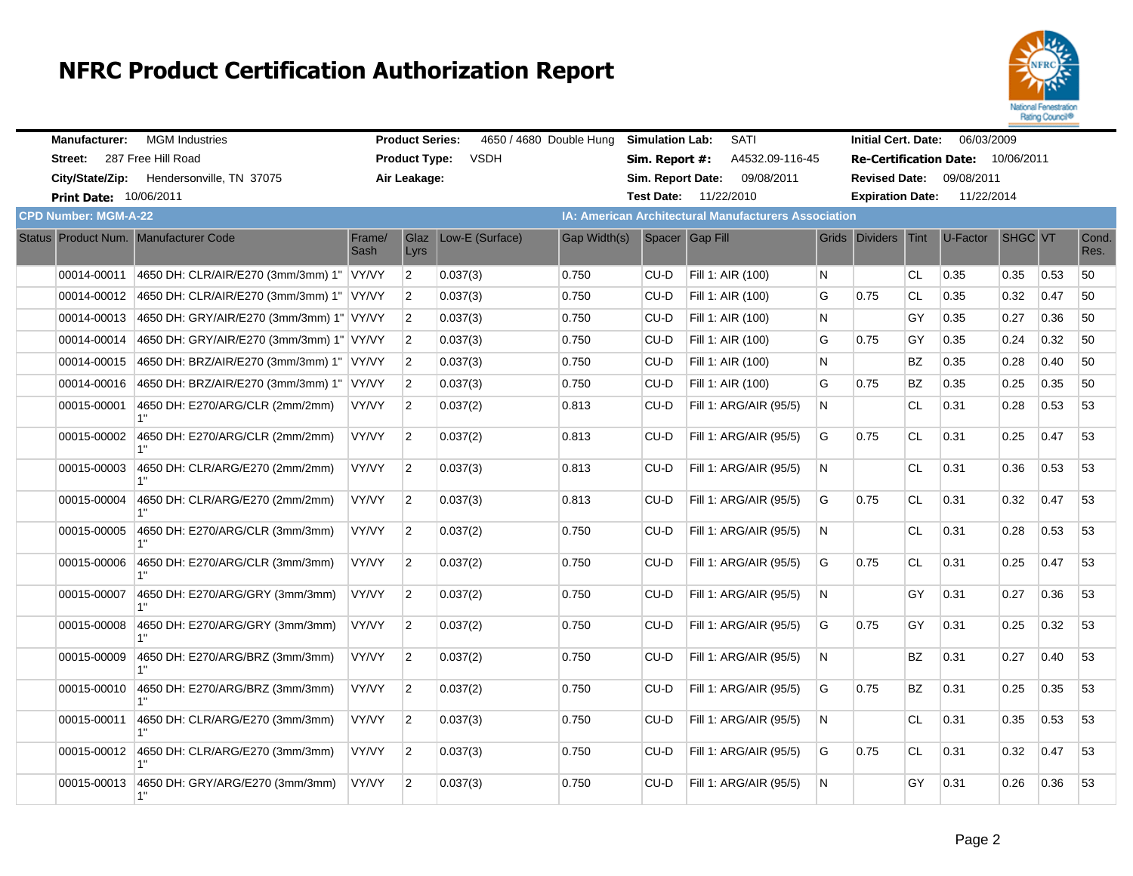

| <b>Manufacturer:</b>                  | <b>MGM Industries</b>                                |                | <b>Product Series:</b> | 4650 / 4680 Double Hung |              | <b>Simulation Lab:</b> | SATI                                                 |    | <b>Initial Cert. Date:</b> |           | 06/03/2009                        |                |      |               |
|---------------------------------------|------------------------------------------------------|----------------|------------------------|-------------------------|--------------|------------------------|------------------------------------------------------|----|----------------------------|-----------|-----------------------------------|----------------|------|---------------|
| Street:                               | 287 Free Hill Road                                   |                | <b>Product Type:</b>   | <b>VSDH</b>             |              | Sim. Report #:         | A4532.09-116-45                                      |    |                            |           | Re-Certification Date: 10/06/2011 |                |      |               |
|                                       | City/State/Zip: Hendersonville, TN 37075             |                | Air Leakage:           |                         |              | Sim. Report Date:      | 09/08/2011                                           |    | <b>Revised Date:</b>       |           | 09/08/2011                        |                |      |               |
| <b>Print Date: 10/06/2011</b>         |                                                      |                |                        |                         |              |                        | Test Date: 11/22/2010                                |    | <b>Expiration Date:</b>    |           | 11/22/2014                        |                |      |               |
| <b>CPD Number: MGM-A-22</b>           |                                                      |                |                        |                         |              |                        | IA: American Architectural Manufacturers Association |    |                            |           |                                   |                |      |               |
| Status Product Num. Manufacturer Code |                                                      | Frame/<br>Sash | Glaz<br>Lyrs           | Low-E (Surface)         | Gap Width(s) |                        | Spacer Gap Fill                                      |    | Grids Dividers             | Tint      | U-Factor                          | <b>SHGC VT</b> |      | Cond.<br>Res. |
| 00014-00011                           | 4650 DH: CLR/AIR/E270 (3mm/3mm) 1"                   | VY/VY          | $\overline{2}$         | 0.037(3)                | 0.750        | CU-D                   | Fill 1: AIR (100)                                    | N. |                            | <b>CL</b> | 0.35                              | 0.35           | 0.53 | 50            |
| 00014-00012                           | 4650 DH: CLR/AIR/E270 (3mm/3mm) 1"                   | VY/VY          | $\overline{2}$         | 0.037(3)                | 0.750        | CU-D                   | Fill 1: AIR (100)                                    | G  | 0.75                       | СL        | 0.35                              | 0.32           | 0.47 | 50            |
|                                       | 00014-00013 4650 DH: GRY/AIR/E270 (3mm/3mm) 1" VY/VY |                | $\overline{2}$         | 0.037(3)                | 0.750        | CU-D                   | Fill 1: AIR (100)                                    | N. |                            | GY        | 0.35                              | 0.27           | 0.36 | 50            |
|                                       | 00014-00014 4650 DH: GRY/AIR/E270 (3mm/3mm) 1" VY/VY |                | $\overline{2}$         | 0.037(3)                | 0.750        | CU-D                   | Fill 1: AIR (100)                                    | G  | 0.75                       | GY        | 0.35                              | 0.24           | 0.32 | 50            |
| 00014-00015                           | 4650 DH: BRZ/AIR/E270 (3mm/3mm) 1"                   | VY/VY          | $\overline{2}$         | 0.037(3)                | 0.750        | CU-D                   | Fill 1: AIR (100)                                    | N  |                            | <b>BZ</b> | 0.35                              | 0.28           | 0.40 | 50            |
| 00014-00016                           | 4650 DH: BRZ/AIR/E270 (3mm/3mm) 1"                   | VY/VY          | $\overline{2}$         | 0.037(3)                | 0.750        | CU-D                   | Fill 1: AIR (100)                                    | G  | 0.75                       | <b>BZ</b> | 0.35                              | 0.25           | 0.35 | 50            |
| 00015-00001                           | 4650 DH: E270/ARG/CLR (2mm/2mm)                      | VY/VY          | $\overline{2}$         | 0.037(2)                | 0.813        | CU-D                   | Fill 1: ARG/AIR (95/5)                               | N  |                            | СL        | 0.31                              | 0.28           | 0.53 | 53            |
| 00015-00002                           | 4650 DH: E270/ARG/CLR (2mm/2mm)                      | VY/VY          | $\overline{2}$         | 0.037(2)                | 0.813        | CU-D                   | Fill 1: ARG/AIR (95/5)                               | G  | 0.75                       | СL        | 0.31                              | 0.25           | 0.47 | 53            |
| 00015-00003                           | 4650 DH: CLR/ARG/E270 (2mm/2mm)                      | VY/VY          | $\overline{2}$         | 0.037(3)                | 0.813        | CU-D                   | Fill 1: ARG/AIR (95/5)                               | N. |                            | <b>CL</b> | 0.31                              | 0.36           | 0.53 | 53            |
| 00015-00004                           | 4650 DH: CLR/ARG/E270 (2mm/2mm)                      | VY/VY          | $\overline{2}$         | 0.037(3)                | 0.813        | CU-D                   | Fill 1: ARG/AIR (95/5)                               | G  | 0.75                       | СL        | 0.31                              | 0.32           | 0.47 | 53            |
| 00015-00005                           | 4650 DH: E270/ARG/CLR (3mm/3mm)                      | VY/VY          | $\overline{2}$         | 0.037(2)                | 0.750        | CU-D                   | Fill 1: ARG/AIR (95/5)                               | N. |                            | <b>CL</b> | 0.31                              | 0.28           | 0.53 | 53            |
| 00015-00006                           | 4650 DH: E270/ARG/CLR (3mm/3mm)                      | VY/VY          | $\overline{2}$         | 0.037(2)                | 0.750        | CU-D                   | Fill 1: ARG/AIR (95/5)                               | G  | 0.75                       | <b>CL</b> | 0.31                              | 0.25           | 0.47 | 53            |
| 00015-00007                           | 4650 DH: E270/ARG/GRY (3mm/3mm)                      | VY/VY          | $\overline{2}$         | 0.037(2)                | 0.750        | CU-D                   | Fill 1: ARG/AIR (95/5)                               | N  |                            | GY        | 0.31                              | 0.27           | 0.36 | 53            |
| 00015-00008                           | 4650 DH: E270/ARG/GRY (3mm/3mm)                      | VY/VY          | $\overline{2}$         | 0.037(2)                | 0.750        | CU-D                   | Fill 1: ARG/AIR (95/5)                               | G  | 0.75                       | GY        | 0.31                              | 0.25           | 0.32 | 53            |
| 00015-00009                           | 4650 DH: E270/ARG/BRZ (3mm/3mm)                      | VY/VY          | $\overline{2}$         | 0.037(2)                | 0.750        | CU-D                   | Fill 1: ARG/AIR (95/5)                               | N. |                            | <b>BZ</b> | 0.31                              | 0.27           | 0.40 | 53            |
| 00015-00010                           | 4650 DH: E270/ARG/BRZ (3mm/3mm)                      | VY/VY          | $\overline{2}$         | 0.037(2)                | 0.750        | CU-D                   | Fill 1: ARG/AIR (95/5)                               | G  | 0.75                       | <b>BZ</b> | 0.31                              | 0.25           | 0.35 | 53            |
| 00015-00011                           | 4650 DH: CLR/ARG/E270 (3mm/3mm)                      | VY/VY          | $\overline{2}$         | 0.037(3)                | 0.750        | CU-D                   | Fill 1: ARG/AIR (95/5)                               | N. |                            | СL        | 0.31                              | 0.35           | 0.53 | 53            |
|                                       | 00015-00012 4650 DH: CLR/ARG/E270 (3mm/3mm)          | VY/VY          | $\overline{2}$         | 0.037(3)                | 0.750        | CU-D                   | Fill 1: ARG/AIR (95/5)                               | G  | 0.75                       | СL        | 0.31                              | 0.32           | 0.47 | 53            |
|                                       | 00015-00013 4650 DH: GRY/ARG/E270 (3mm/3mm)<br>1"    | VY/VY          | $\overline{2}$         | 0.037(3)                | 0.750        | CU-D                   | Fill 1: ARG/AIR (95/5)                               | N  |                            | GY        | 0.31                              | 0.26           | 0.36 | 53            |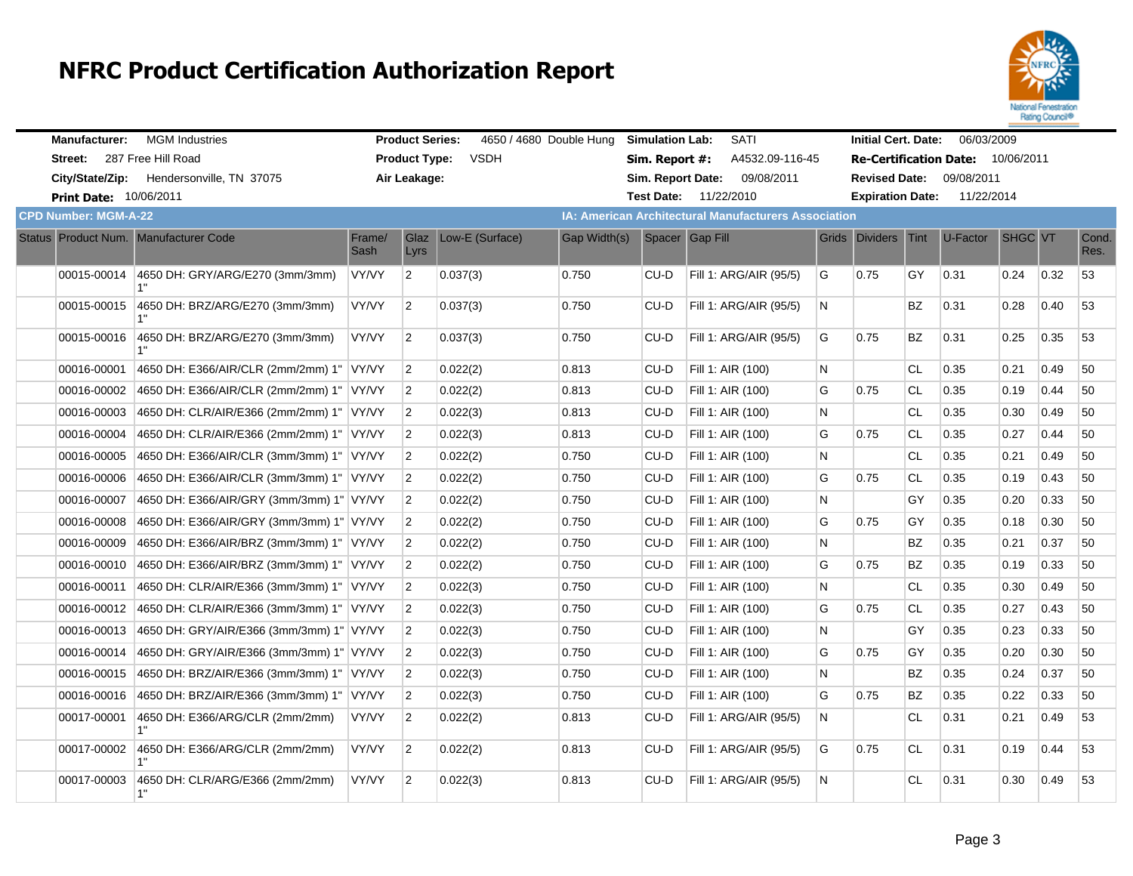

| <b>Manufacturer:</b>          | <b>MGM</b> Industries                          | <b>Product Series:</b><br>4650 / 4680 Double Hung<br><b>Product Type:</b> |                         |                 |              | <b>Simulation Lab:</b> | <b>SATI</b>                                          |    | <b>Initial Cert. Date:</b><br>06/03/2009 |           |                                   |         |      |               |  |  |
|-------------------------------|------------------------------------------------|---------------------------------------------------------------------------|-------------------------|-----------------|--------------|------------------------|------------------------------------------------------|----|------------------------------------------|-----------|-----------------------------------|---------|------|---------------|--|--|
| Street: 287 Free Hill Road    |                                                |                                                                           |                         | <b>VSDH</b>     |              | Sim. Report #:         | A4532.09-116-45                                      |    |                                          |           | Re-Certification Date: 10/06/2011 |         |      |               |  |  |
|                               | City/State/Zip: Hendersonville, TN 37075       |                                                                           | Air Leakage:            |                 |              | Sim. Report Date:      | 09/08/2011                                           |    | <b>Revised Date:</b>                     |           | 09/08/2011                        |         |      |               |  |  |
| <b>Print Date: 10/06/2011</b> |                                                |                                                                           |                         |                 |              |                        | <b>Test Date: 11/22/2010</b>                         |    | <b>Expiration Date:</b>                  |           | 11/22/2014                        |         |      |               |  |  |
| <b>CPD Number: MGM-A-22</b>   |                                                |                                                                           |                         |                 |              |                        | IA: American Architectural Manufacturers Association |    |                                          |           |                                   |         |      |               |  |  |
|                               | Status Product Num. Manufacturer Code          | Frame/<br>Sash                                                            | Glaz<br>Lyrs            | Low-E (Surface) | Gap Width(s) |                        | Spacer Gap Fill                                      |    | Grids Dividers                           | Tint      | U-Factor                          | SHGC VT |      | Cond.<br>Res. |  |  |
| 00015-00014                   | 4650 DH: GRY/ARG/E270 (3mm/3mm)                | VY/VY                                                                     | $\overline{2}$          | 0.037(3)        | 0.750        | CU-D                   | Fill 1: ARG/AIR (95/5)                               | G  | 0.75                                     | GY        | 0.31                              | 0.24    | 0.32 | 53            |  |  |
|                               | 00015-00015 4650 DH: BRZ/ARG/E270 (3mm/3mm)    | <b>VY/VY</b>                                                              | $\overline{c}$          | 0.037(3)        | 0.750        | CU-D                   | Fill 1: ARG/AIR (95/5)                               | N  |                                          | <b>BZ</b> | 0.31                              | 0.28    | 0.40 | 53            |  |  |
|                               | 00015-00016 4650 DH: BRZ/ARG/E270 (3mm/3mm)    | VY/VY                                                                     | $\overline{2}$          | 0.037(3)        | 0.750        | CU-D                   | Fill 1: ARG/AIR (95/5)                               | G  | 0.75                                     | ΒZ        | 0.31                              | 0.25    | 0.35 | 53            |  |  |
| 00016-00001                   | 4650 DH: E366/AIR/CLR (2mm/2mm) 1"             | VY/VY                                                                     | $\overline{2}$          | 0.022(2)        | 0.813        | CU-D                   | Fill 1: AIR (100)                                    | N. |                                          | <b>CL</b> | 0.35                              | 0.21    | 0.49 | 50            |  |  |
| 00016-00002                   | 4650 DH: E366/AIR/CLR (2mm/2mm) 1"             | VY/VY                                                                     | $\overline{2}$          | 0.022(2)        | 0.813        | CU-D                   | Fill 1: AIR (100)                                    | G  | 0.75                                     | <b>CL</b> | 0.35                              | 0.19    | 0.44 | 50            |  |  |
| 00016-00003                   | 4650 DH: CLR/AIR/E366 (2mm/2mm) 1"             | <b>VY/VY</b>                                                              | $\overline{2}$          | 0.022(3)        | 0.813        | CU-D                   | Fill 1: AIR (100)                                    | N  |                                          | <b>CL</b> | 0.35                              | 0.30    | 0.49 | 50            |  |  |
| 00016-00004                   | 4650 DH: CLR/AIR/E366 (2mm/2mm) 1"             | VY/VY                                                                     | $\overline{2}$          | 0.022(3)        | 0.813        | CU-D                   | Fill 1: AIR (100)                                    | G  | 0.75                                     | <b>CL</b> | 0.35                              | 0.27    | 0.44 | 50            |  |  |
| 00016-00005                   | 4650 DH: E366/AIR/CLR (3mm/3mm) 1"             | VY/VY                                                                     | $\overline{2}$          | 0.022(2)        | 0.750        | CU-D                   | Fill 1: AIR (100)                                    | N  |                                          | <b>CL</b> | 0.35                              | 0.21    | 0.49 | 50            |  |  |
| 00016-00006                   | 4650 DH: E366/AIR/CLR (3mm/3mm) 1"             | <b>VY/VY</b>                                                              | $\overline{2}$          | 0.022(2)        | 0.750        | CU-D                   | Fill 1: AIR (100)                                    | G  | 0.75                                     | <b>CL</b> | 0.35                              | 0.19    | 0.43 | 50            |  |  |
| 00016-00007                   | 4650 DH: E366/AIR/GRY (3mm/3mm) 1" VY/VY       |                                                                           | $\overline{2}$          | 0.022(2)        | 0.750        | CU-D                   | Fill 1: AIR (100)                                    | N  |                                          | GY        | 0.35                              | 0.20    | 0.33 | 50            |  |  |
| 00016-00008                   | 4650 DH: E366/AIR/GRY (3mm/3mm) 1" VY/VY       |                                                                           | $\overline{2}$          | 0.022(2)        | 0.750        | CU-D                   | Fill 1: AIR (100)                                    | G  | 0.75                                     | GY        | 0.35                              | 0.18    | 0.30 | 50            |  |  |
| 00016-00009                   | 4650 DH: E366/AIR/BRZ (3mm/3mm) 1" VY/VY       |                                                                           | $\overline{2}$          | 0.022(2)        | 0.750        | CU-D                   | Fill 1: AIR (100)                                    | N  |                                          | ΒZ        | 0.35                              | 0.21    | 0.37 | 50            |  |  |
| 00016-00010                   | 4650 DH: E366/AIR/BRZ (3mm/3mm) 1"             | VY/VY                                                                     | $\overline{\mathbf{c}}$ | 0.022(2)        | 0.750        | CU-D                   | Fill 1: AIR (100)                                    | G  | 0.75                                     | <b>BZ</b> | 0.35                              | 0.19    | 0.33 | 50            |  |  |
| 00016-00011                   | 4650 DH: CLR/AIR/E366 (3mm/3mm) 1"             | VY/VY                                                                     | $\overline{2}$          | 0.022(3)        | 0.750        | CU-D                   | Fill 1: AIR (100)                                    | N  |                                          | CL.       | 0.35                              | 0.30    | 0.49 | 50            |  |  |
| 00016-00012                   | 4650 DH: CLR/AIR/E366 (3mm/3mm) 1"             | VY/VY                                                                     | $\overline{2}$          | 0.022(3)        | 0.750        | CU-D                   | Fill 1: AIR (100)                                    | G  | 0.75                                     | CL        | 0.35                              | 0.27    | 0.43 | 50            |  |  |
| 00016-00013                   | 4650 DH: GRY/AIR/E366 (3mm/3mm) 1" VY/VY       |                                                                           | $\overline{2}$          | 0.022(3)        | 0.750        | CU-D                   | Fill 1: AIR (100)                                    | N  |                                          | GY        | 0.35                              | 0.23    | 0.33 | 50            |  |  |
| 00016-00014                   | 4650 DH: GRY/AIR/E366 (3mm/3mm) 1" VY/VY       |                                                                           | $\overline{2}$          | 0.022(3)        | 0.750        | CU-D                   | Fill 1: AIR (100)                                    | G  | 0.75                                     | GY        | 0.35                              | 0.20    | 0.30 | 50            |  |  |
| 00016-00015                   | 4650 DH: BRZ/AIR/E366 (3mm/3mm) 1"             | VY/VY                                                                     | $\overline{2}$          | 0.022(3)        | 0.750        | CU-D                   | Fill 1: AIR (100)                                    | N  |                                          | BZ        | 0.35                              | 0.24    | 0.37 | 50            |  |  |
|                               | 00016-00016 4650 DH: BRZ/AIR/E366 (3mm/3mm) 1" | VY/VY                                                                     | $\overline{2}$          | 0.022(3)        | 0.750        | CU-D                   | Fill 1: AIR (100)                                    | G  | 0.75                                     | ΒZ        | 0.35                              | 0.22    | 0.33 | 50            |  |  |
| 00017-00001                   | 4650 DH: E366/ARG/CLR (2mm/2mm)                | VY/VY                                                                     | $\overline{c}$          | 0.022(2)        | 0.813        | CU-D                   | Fill 1: ARG/AIR (95/5)                               | N. |                                          | CL        | 0.31                              | 0.21    | 0.49 | 53            |  |  |
|                               | 00017-00002 4650 DH: E366/ARG/CLR (2mm/2mm)    | VY/VY                                                                     | $\overline{2}$          | 0.022(2)        | 0.813        | CU-D                   | Fill 1: ARG/AIR (95/5)                               | G  | 0.75                                     | CL        | 0.31                              | 0.19    | 0.44 | 53            |  |  |
| 00017-00003                   | 4650 DH: CLR/ARG/E366 (2mm/2mm)<br>1"          | VY/VY                                                                     | $\overline{2}$          | 0.022(3)        | 0.813        | CU-D                   | Fill 1: ARG/AIR (95/5)                               | N  |                                          | <b>CL</b> | 0.31                              | 0.30    | 0.49 | 53            |  |  |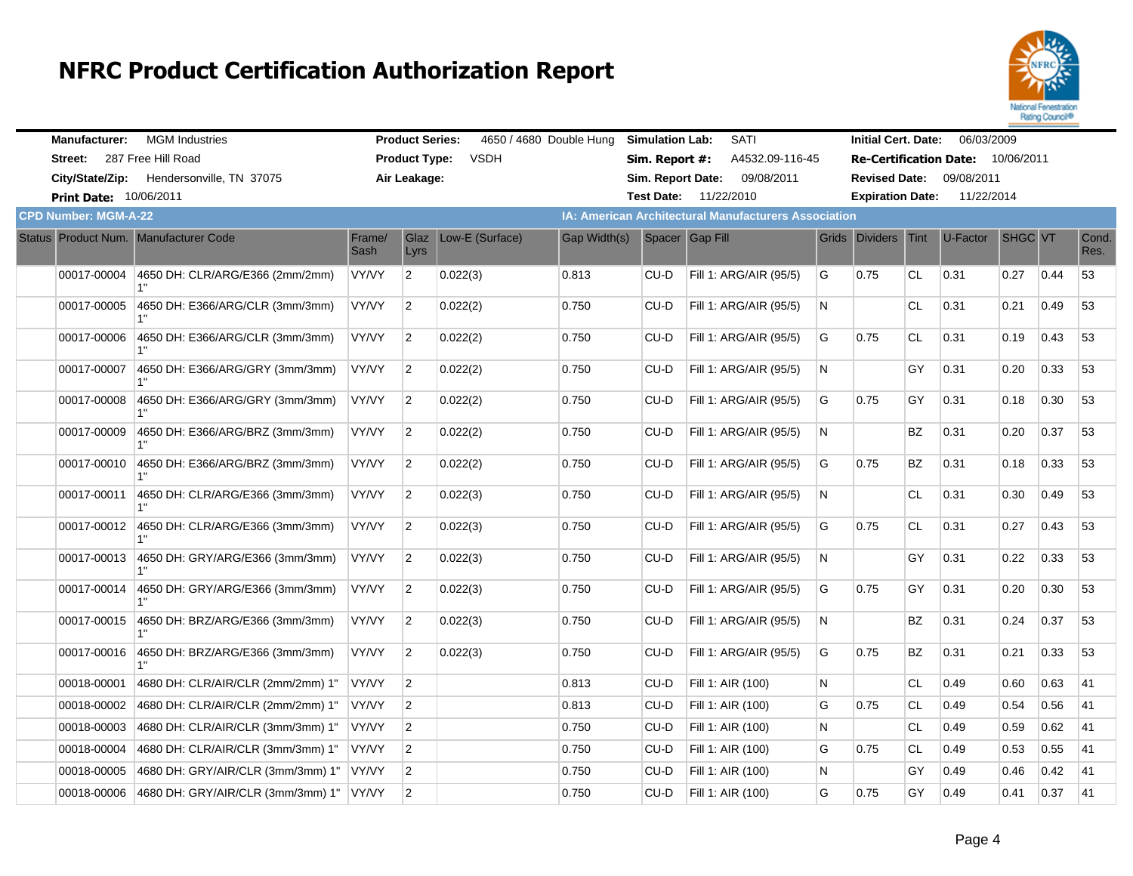

| <b>Manufacturer:</b>        | <b>MGM</b> Industries                         |                | <b>Product Series:</b> | 4650 / 4680 Double Hung |              | <b>Simulation Lab:</b> | <b>SATI</b>                                          |   | <b>Initial Cert. Date:</b> |           | 06/03/2009                        |                |      |               |
|-----------------------------|-----------------------------------------------|----------------|------------------------|-------------------------|--------------|------------------------|------------------------------------------------------|---|----------------------------|-----------|-----------------------------------|----------------|------|---------------|
| Street:                     | 287 Free Hill Road                            |                | <b>Product Type:</b>   | <b>VSDH</b>             |              | Sim. Report #:         | A4532.09-116-45                                      |   |                            |           | Re-Certification Date: 10/06/2011 |                |      |               |
| City/State/Zip:             | Hendersonville, TN 37075                      |                | Air Leakage:           |                         |              | Sim. Report Date:      | 09/08/2011                                           |   | <b>Revised Date:</b>       |           | 09/08/2011                        |                |      |               |
| Print Date: 10/06/2011      |                                               |                |                        |                         |              |                        | Test Date: 11/22/2010                                |   | <b>Expiration Date:</b>    |           | 11/22/2014                        |                |      |               |
| <b>CPD Number: MGM-A-22</b> |                                               |                |                        |                         |              |                        | IA: American Architectural Manufacturers Association |   |                            |           |                                   |                |      |               |
|                             | Status Product Num. Manufacturer Code         | Frame/<br>Sash | Glaz<br>Lyrs           | Low-E (Surface)         | Gap Width(s) |                        | Spacer Gap Fill                                      |   | Grids Dividers Tint        |           | U-Factor                          | <b>SHGC VT</b> |      | Cond.<br>Res. |
| 00017-00004                 | 4650 DH: CLR/ARG/E366 (2mm/2mm)               | VY/VY          | $\overline{2}$         | 0.022(3)                | 0.813        | CU-D                   | Fill 1: ARG/AIR (95/5)                               | G | 0.75                       | CL        | 0.31                              | 0.27           | 0.44 | 53            |
| 00017-00005                 | 4650 DH: E366/ARG/CLR (3mm/3mm)               | VY/VY          | $\overline{c}$         | 0.022(2)                | 0.750        | CU-D                   | Fill 1: ARG/AIR (95/5)                               | N |                            | <b>CL</b> | 0.31                              | 0.21           | 0.49 | 53            |
| 00017-00006                 | 4650 DH: E366/ARG/CLR (3mm/3mm)               | VY/VY          | $\overline{2}$         | 0.022(2)                | 0.750        | CU-D                   | Fill 1: ARG/AIR (95/5)                               | G | 0.75                       | CL        | 0.31                              | 0.19           | 0.43 | 53            |
| 00017-00007                 | 4650 DH: E366/ARG/GRY (3mm/3mm)               | <b>VY/VY</b>   | $\overline{2}$         | 0.022(2)                | 0.750        | CU-D                   | Fill 1: ARG/AIR (95/5)                               | N |                            | GY        | 0.31                              | 0.20           | 0.33 | 53            |
| 00017-00008                 | 4650 DH: E366/ARG/GRY (3mm/3mm)               | VY/VY          | $\overline{2}$         | 0.022(2)                | 0.750        | CU-D                   | Fill 1: ARG/AIR (95/5)                               | G | 0.75                       | GY        | 0.31                              | 0.18           | 0.30 | 53            |
| 00017-00009                 | 4650 DH: E366/ARG/BRZ (3mm/3mm)               | VY/VY          | $\overline{2}$         | 0.022(2)                | 0.750        | CU-D                   | Fill 1: ARG/AIR (95/5)                               | N |                            | <b>BZ</b> | 0.31                              | 0.20           | 0.37 | 53            |
|                             | 00017-00010 4650 DH: E366/ARG/BRZ (3mm/3mm)   | VY/VY          | $\overline{2}$         | 0.022(2)                | 0.750        | CU-D                   | Fill 1: ARG/AIR (95/5)                               | G | 0.75                       | <b>BZ</b> | 0.31                              | 0.18           | 0.33 | 53            |
| 00017-00011                 | 4650 DH: CLR/ARG/E366 (3mm/3mm)               | VY/VY          | $\overline{2}$         | 0.022(3)                | 0.750        | CU-D                   | Fill 1: ARG/AIR (95/5)                               | N |                            | <b>CL</b> | 0.31                              | 0.30           | 0.49 | 53            |
|                             | 00017-00012 4650 DH: CLR/ARG/E366 (3mm/3mm)   | VY/VY          | $\overline{2}$         | 0.022(3)                | 0.750        | CU-D                   | Fill 1: ARG/AIR (95/5)                               | G | 0.75                       | CL        | 0.31                              | 0.27           | 0.43 | 53            |
|                             | 00017-00013 4650 DH: GRY/ARG/E366 (3mm/3mm)   | VY/VY          | $\overline{2}$         | 0.022(3)                | 0.750        | CU-D                   | Fill 1: ARG/AIR (95/5)                               | N |                            | GY        | 0.31                              | 0.22           | 0.33 | 53            |
|                             | 00017-00014 4650 DH: GRY/ARG/E366 (3mm/3mm)   | VY/VY          | $\overline{2}$         | 0.022(3)                | 0.750        | CU-D                   | Fill 1: ARG/AIR (95/5)                               | G | 0.75                       | GY        | 0.31                              | 0.20           | 0.30 | 53            |
| 00017-00015                 | 4650 DH: BRZ/ARG/E366 (3mm/3mm)               | VY/VY          | $\overline{2}$         | 0.022(3)                | 0.750        | CU-D                   | Fill 1: ARG/AIR (95/5)                               | N |                            | BZ        | 0.31                              | 0.24           | 0.37 | 53            |
|                             | 00017-00016 4650 DH: BRZ/ARG/E366 (3mm/3mm)   | VY/VY          | $\overline{2}$         | 0.022(3)                | 0.750        | CU-D                   | Fill 1: ARG/AIR (95/5)                               | G | 0.75                       | <b>BZ</b> | 0.31                              | 0.21           | 0.33 | 53            |
| 00018-00001                 | 4680 DH: CLR/AIR/CLR (2mm/2mm) 1"             | VY/VY          | $\overline{2}$         |                         | 0.813        | CU-D                   | Fill 1: AIR (100)                                    | N |                            | CL        | 0.49                              | 0.60           | 0.63 | 41            |
| 00018-00002                 | 4680 DH: CLR/AIR/CLR (2mm/2mm) 1"             | VY/VY          | $\overline{2}$         |                         | 0.813        | CU-D                   | Fill 1: AIR (100)                                    | G | 0.75                       | <b>CL</b> | 0.49                              | 0.54           | 0.56 | 41            |
| 00018-00003                 | 4680 DH: CLR/AIR/CLR (3mm/3mm) 1"             | <b>VY/VY</b>   | $\overline{2}$         |                         | 0.750        | CU-D                   | Fill 1: AIR (100)                                    | N |                            | <b>CL</b> | 0.49                              | 0.59           | 0.62 | 41            |
| 00018-00004                 | 4680 DH: CLR/AIR/CLR (3mm/3mm) 1"             | VY/VY          | $\overline{2}$         |                         | 0.750        | CU-D                   | Fill 1: AIR (100)                                    | G | 0.75                       | <b>CL</b> | 0.49                              | 0.53           | 0.55 | 41            |
| 00018-00005                 | 4680 DH: GRY/AIR/CLR (3mm/3mm) 1"             | VY/VY          | $\overline{2}$         |                         | 0.750        | CU-D                   | Fill 1: AIR (100)                                    | N |                            | GY        | 0.49                              | 0.46           | 0.42 | 41            |
|                             | 00018-00006 4680 DH: GRY/AIR/CLR (3mm/3mm) 1" | VY/VY          | $\overline{2}$         |                         | 0.750        | CU-D                   | Fill 1: AIR (100)                                    | G | 0.75                       | GY        | 0.49                              | 0.41           | 0.37 | 41            |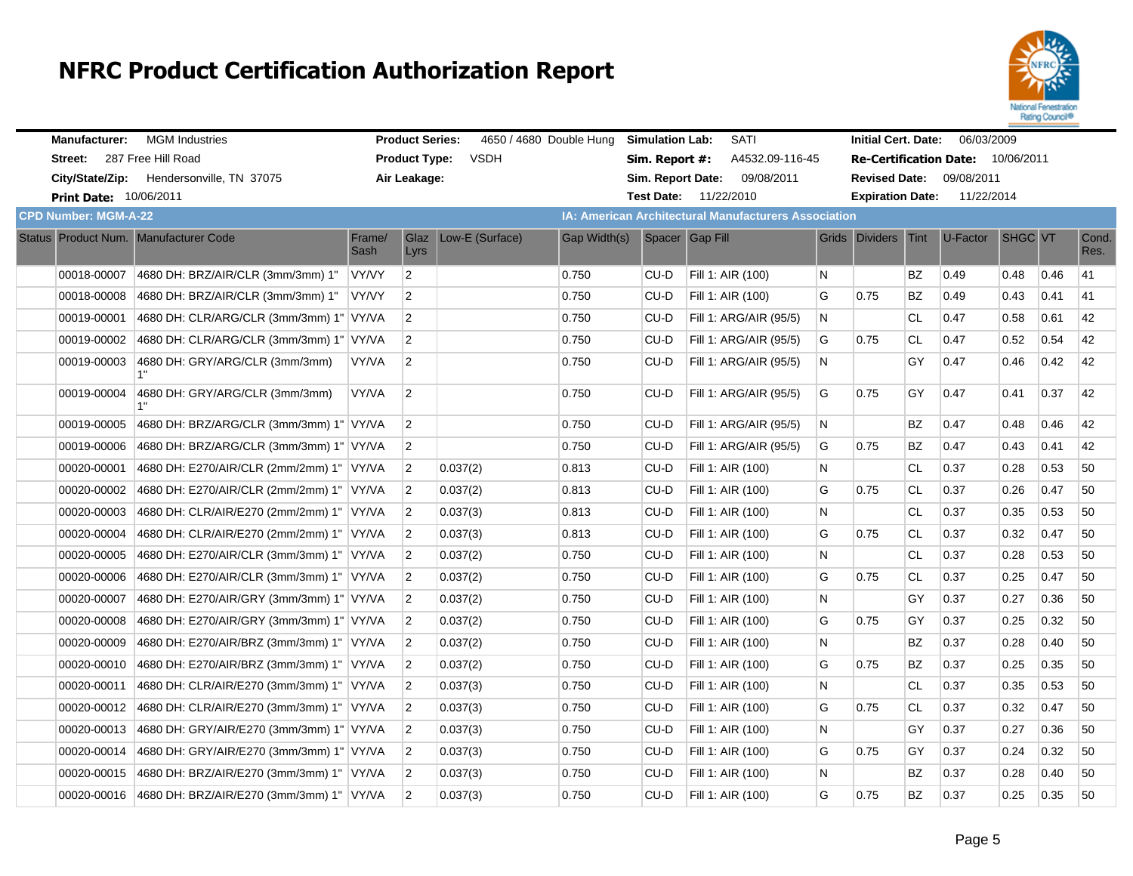

| <b>Manufacturer:</b>                  | <b>MGM Industries</b>                    |                | <b>Product Series:</b> | 4650 / 4680 Double Hung |              | <b>Simulation Lab:</b> | <b>SATI</b>                                          |   | <b>Initial Cert. Date:</b> |           | 06/03/2009                        |         |      |               |
|---------------------------------------|------------------------------------------|----------------|------------------------|-------------------------|--------------|------------------------|------------------------------------------------------|---|----------------------------|-----------|-----------------------------------|---------|------|---------------|
| Street: 287 Free Hill Road            |                                          |                | <b>Product Type:</b>   | <b>VSDH</b>             |              | Sim. Report #:         | A4532.09-116-45                                      |   |                            |           | Re-Certification Date: 10/06/2011 |         |      |               |
|                                       | City/State/Zip: Hendersonville, TN 37075 |                | Air Leakage:           |                         |              | Sim. Report Date:      | 09/08/2011                                           |   |                            |           | <b>Revised Date: 09/08/2011</b>   |         |      |               |
| <b>Print Date: 10/06/2011</b>         |                                          |                |                        |                         |              |                        | Test Date: 11/22/2010                                |   | <b>Expiration Date:</b>    |           | 11/22/2014                        |         |      |               |
| <b>CPD Number: MGM-A-22</b>           |                                          |                |                        |                         |              |                        | IA: American Architectural Manufacturers Association |   |                            |           |                                   |         |      |               |
| Status Product Num. Manufacturer Code |                                          | Frame/<br>Sash | Glaz<br>Lyrs           | Low-E (Surface)         | Gap Width(s) |                        | Spacer Gap Fill                                      |   | Grids Dividers             | Tint      | U-Factor                          | SHGC VT |      | Cond.<br>Res. |
| 00018-00007                           | 4680 DH: BRZ/AIR/CLR (3mm/3mm) 1"        | VY/VY          | $\overline{c}$         |                         | 0.750        | CU-D                   | Fill 1: AIR (100)                                    | N |                            | BZ        | 0.49                              | 0.48    | 0.46 | 41            |
| 00018-00008                           | 4680 DH: BRZ/AIR/CLR (3mm/3mm) 1"        | VY/VY          | $\overline{2}$         |                         | 0.750        | CU-D                   | Fill 1: AIR (100)                                    | G | 0.75                       | ΒZ        | 0.49                              | 0.43    | 0.41 | 41            |
| 00019-00001                           | 4680 DH: CLR/ARG/CLR (3mm/3mm) 1" VY/VA  |                | $\overline{c}$         |                         | 0.750        | CU-D                   | Fill 1: ARG/AIR (95/5)                               | N |                            | СL        | 0.47                              | 0.58    | 0.61 | 42            |
| 00019-00002                           | 4680 DH: CLR/ARG/CLR (3mm/3mm) 1" VY/VA  |                | $\overline{c}$         |                         | 0.750        | CU-D                   | Fill 1: ARG/AIR (95/5)                               | G | 0.75                       | СL        | 0.47                              | 0.52    | 0.54 | 42            |
| 00019-00003                           | 4680 DH: GRY/ARG/CLR (3mm/3mm)           | VY/VA          | $\overline{c}$         |                         | 0.750        | CU-D                   | Fill 1: ARG/AIR (95/5)                               | N |                            | GY        | 0.47                              | 0.46    | 0.42 | 42            |
| 00019-00004                           | 4680 DH: GRY/ARG/CLR (3mm/3mm)           | VY/VA          | $\overline{c}$         |                         | 0.750        | CU-D                   | Fill 1: ARG/AIR (95/5)                               | G | 0.75                       | GY        | 0.47                              | 0.41    | 0.37 | 42            |
| 00019-00005                           | 4680 DH: BRZ/ARG/CLR (3mm/3mm) 1"        | VY/VA          | $\overline{c}$         |                         | 0.750        | CU-D                   | Fill 1: ARG/AIR (95/5)                               | N |                            | BZ        | 0.47                              | 0.48    | 0.46 | 42            |
| 00019-00006                           | 4680 DH: BRZ/ARG/CLR (3mm/3mm) 1" VY/VA  |                | $\overline{c}$         |                         | 0.750        | CU-D                   | Fill 1: ARG/AIR (95/5)                               | G | 0.75                       | BZ        | 0.47                              | 0.43    | 0.41 | 42            |
| 00020-00001                           | 4680 DH: E270/AIR/CLR (2mm/2mm) 1" VY/VA |                | $\overline{2}$         | 0.037(2)                | 0.813        | CU-D                   | Fill 1: AIR (100)                                    | N |                            | СL        | 0.37                              | 0.28    | 0.53 | 50            |
| 00020-00002                           | 4680 DH: E270/AIR/CLR (2mm/2mm) 1"       | VY/VA          | $\overline{2}$         | 0.037(2)                | 0.813        | CU-D                   | Fill 1: AIR (100)                                    | G | 0.75                       | CL        | 0.37                              | 0.26    | 0.47 | 50            |
| 00020-00003                           | 4680 DH: CLR/AIR/E270 (2mm/2mm) 1" VY/VA |                | $\overline{2}$         | 0.037(3)                | 0.813        | CU-D                   | Fill 1: AIR (100)                                    | N |                            | СL        | 0.37                              | 0.35    | 0.53 | 50            |
| 00020-00004                           | 4680 DH: CLR/AIR/E270 (2mm/2mm) 1"       | VY/VA          | $\overline{2}$         | 0.037(3)                | 0.813        | CU-D                   | Fill 1: AIR (100)                                    | G | 0.75                       | СL        | 0.37                              | 0.32    | 0.47 | 50            |
| 00020-00005                           | 4680 DH: E270/AIR/CLR (3mm/3mm) 1"       | VY/VA          | $\overline{2}$         | 0.037(2)                | 0.750        | CU-D                   | Fill 1: AIR (100)                                    | N |                            | СL        | 0.37                              | 0.28    | 0.53 | 50            |
| 00020-00006                           | 4680 DH: E270/AIR/CLR (3mm/3mm) 1" VY/VA |                | $\overline{2}$         | 0.037(2)                | 0.750        | CU-D                   | Fill 1: AIR (100)                                    | G | 0.75                       | СL        | 0.37                              | 0.25    | 0.47 | 50            |
| 00020-00007                           | 4680 DH: E270/AIR/GRY (3mm/3mm) 1" VY/VA |                | $\overline{2}$         | 0.037(2)                | 0.750        | CU-D                   | Fill 1: AIR (100)                                    | N |                            | GY        | 0.37                              | 0.27    | 0.36 | 50            |
| 00020-00008                           | 4680 DH: E270/AIR/GRY (3mm/3mm) 1" VY/VA |                | $\overline{2}$         | 0.037(2)                | 0.750        | CU-D                   | Fill 1: AIR (100)                                    | G | 0.75                       | GY        | 0.37                              | 0.25    | 0.32 | 50            |
| 00020-00009                           | 4680 DH: E270/AIR/BRZ (3mm/3mm) 1" VY/VA |                | $\overline{2}$         | 0.037(2)                | 0.750        | CU-D                   | Fill 1: AIR (100)                                    | N |                            | <b>BZ</b> | 0.37                              | 0.28    | 0.40 | 50            |
| 00020-00010                           | 4680 DH: E270/AIR/BRZ (3mm/3mm) 1"       | VY/VA          | $\overline{2}$         | 0.037(2)                | 0.750        | CU-D                   | Fill 1: AIR (100)                                    | G | 0.75                       | <b>BZ</b> | 0.37                              | 0.25    | 0.35 | 50            |
| 00020-00011                           | 4680 DH: CLR/AIR/E270 (3mm/3mm) 1" VY/VA |                | $\overline{2}$         | 0.037(3)                | 0.750        | CU-D                   | Fill 1: AIR (100)                                    | N |                            | CL        | 0.37                              | 0.35    | 0.53 | 50            |
| 00020-00012                           | 4680 DH: CLR/AIR/E270 (3mm/3mm) 1" VY/VA |                | $\overline{2}$         | 0.037(3)                | 0.750        | CU-D                   | Fill 1: AIR (100)                                    | G | 0.75                       | СL        | 0.37                              | 0.32    | 0.47 | 50            |
| 00020-00013                           | 4680 DH: GRY/AIR/E270 (3mm/3mm) 1" VY/VA |                | $\overline{2}$         | 0.037(3)                | 0.750        | CU-D                   | Fill 1: AIR (100)                                    | N |                            | GY        | 0.37                              | 0.27    | 0.36 | 50            |
| 00020-00014                           | 4680 DH: GRY/AIR/E270 (3mm/3mm) 1" VY/VA |                | $\overline{2}$         | 0.037(3)                | 0.750        | $CU-D$                 | Fill 1: AIR (100)                                    | G | 0.75                       | GY        | 0.37                              | 0.24    | 0.32 | 50            |
| 00020-00015                           | 4680 DH: BRZ/AIR/E270 (3mm/3mm) 1"       | VY/VA          | $\overline{2}$         | 0.037(3)                | 0.750        | CU-D                   | Fill 1: AIR (100)                                    | N |                            | ΒZ        | 0.37                              | 0.28    | 0.40 | 50            |
| 00020-00016                           | 4680 DH: BRZ/AIR/E270 (3mm/3mm) 1" VY/VA |                | $\overline{2}$         | 0.037(3)                | 0.750        | CU-D                   | Fill 1: AIR (100)                                    | G | 0.75                       | BZ        | 0.37                              | 0.25    | 0.35 | 50            |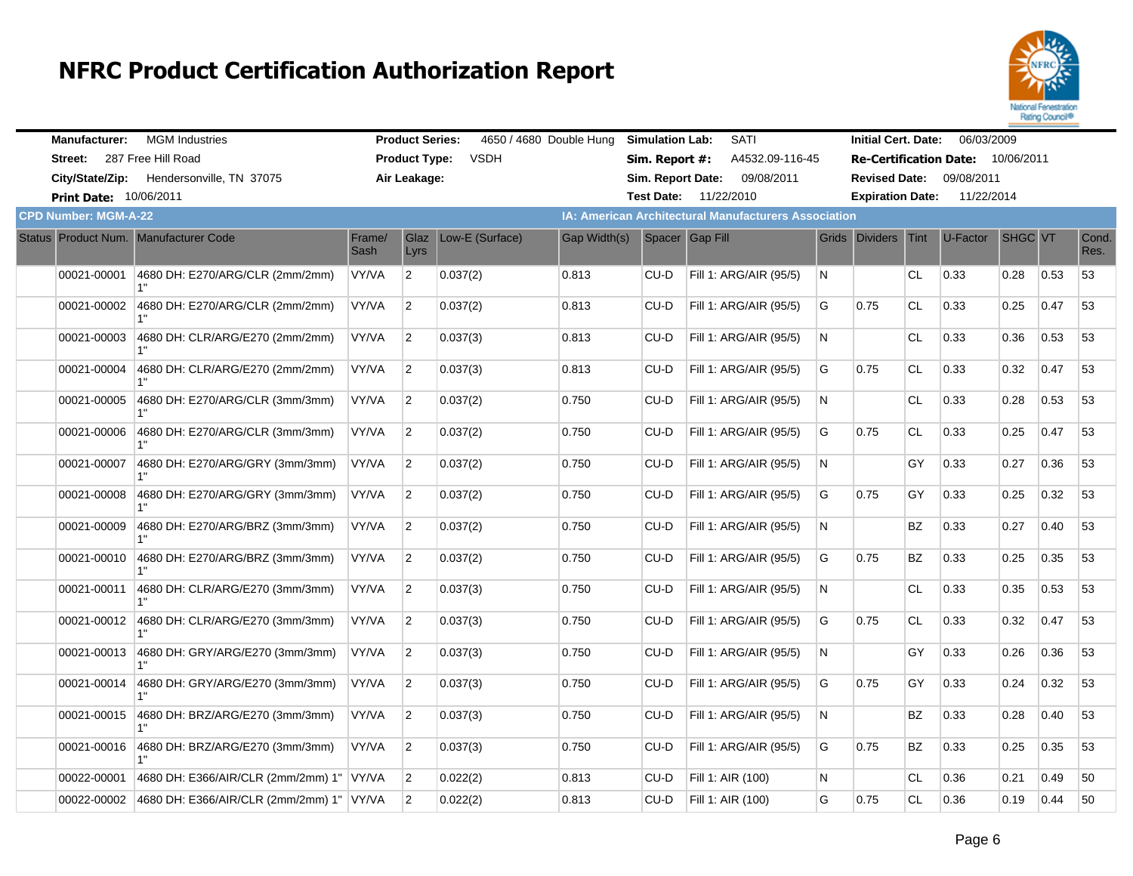

| <b>Manufacturer:</b>        | <b>MGM Industries</b>                                |                | <b>Product Series:</b> | 4650 / 4680 Double Hung |              | <b>Simulation Lab:</b> | <b>SATI</b>                                          |   | <b>Initial Cert. Date:</b> |           | 06/03/2009                        |                |      |               |
|-----------------------------|------------------------------------------------------|----------------|------------------------|-------------------------|--------------|------------------------|------------------------------------------------------|---|----------------------------|-----------|-----------------------------------|----------------|------|---------------|
| Street:                     | 287 Free Hill Road                                   |                | <b>Product Type:</b>   | <b>VSDH</b>             |              | Sim. Report #:         | A4532.09-116-45                                      |   |                            |           | Re-Certification Date: 10/06/2011 |                |      |               |
| City/State/Zip:             | Hendersonville, TN 37075                             |                | Air Leakage:           |                         |              |                        | 09/08/2011<br>Sim. Report Date:                      |   |                            |           | <b>Revised Date: 09/08/2011</b>   |                |      |               |
| Print Date: 10/06/2011      |                                                      |                |                        |                         |              |                        | Test Date: 11/22/2010                                |   | <b>Expiration Date:</b>    |           | 11/22/2014                        |                |      |               |
| <b>CPD Number: MGM-A-22</b> |                                                      |                |                        |                         |              |                        | IA: American Architectural Manufacturers Association |   |                            |           |                                   |                |      |               |
|                             | Status Product Num. Manufacturer Code                | Frame/<br>Sash | Glaz<br>Lyrs           | Low-E (Surface)         | Gap Width(s) |                        | Spacer Gap Fill                                      |   | Grids Dividers Tint        |           | U-Factor                          | <b>SHGC VT</b> |      | Cond.<br>Res. |
|                             | 00021-00001 4680 DH: E270/ARG/CLR (2mm/2mm)          | VY/VA          | $\overline{2}$         | 0.037(2)                | 0.813        | CU-D                   | Fill 1: ARG/AIR (95/5)                               | N |                            | <b>CL</b> | 0.33                              | 0.28           | 0.53 | 53            |
| 00021-00002                 | 4680 DH: E270/ARG/CLR (2mm/2mm)                      | VY/VA          | 2                      | 0.037(2)                | 0.813        | CU-D                   | Fill 1: ARG/AIR (95/5)                               | G | 0.75                       | <b>CL</b> | 0.33                              | 0.25           | 0.47 | 53            |
|                             | 00021-00003 4680 DH: CLR/ARG/E270 (2mm/2mm)          | VY/VA          | $\overline{2}$         | 0.037(3)                | 0.813        | CU-D                   | Fill 1: ARG/AIR (95/5)                               | N |                            | CL        | 0.33                              | 0.36           | 0.53 | 53            |
| 00021-00004                 | 4680 DH: CLR/ARG/E270 (2mm/2mm)                      | VY/VA          | $\overline{2}$         | 0.037(3)                | 0.813        | CU-D                   | Fill 1: ARG/AIR (95/5)                               | G | 0.75                       | CL        | 0.33                              | 0.32           | 0.47 | 53            |
| 00021-00005                 | 4680 DH: E270/ARG/CLR (3mm/3mm)                      | VY/VA          | $\overline{2}$         | 0.037(2)                | 0.750        | CU-D                   | Fill 1: ARG/AIR (95/5)                               | N |                            | CL        | 0.33                              | 0.28           | 0.53 | 53            |
| 00021-00006                 | 4680 DH: E270/ARG/CLR (3mm/3mm)                      | VY/VA          | $\overline{2}$         | 0.037(2)                | 0.750        | CU-D                   | Fill 1: ARG/AIR (95/5)                               | G | 0.75                       | <b>CL</b> | 0.33                              | 0.25           | 0.47 | 53            |
| 00021-00007                 | 4680 DH: E270/ARG/GRY (3mm/3mm)                      | VY/VA          | $\overline{2}$         | 0.037(2)                | 0.750        | CU-D                   | Fill 1: ARG/AIR (95/5)                               | N |                            | GY        | 0.33                              | 0.27           | 0.36 | 53            |
|                             | 00021-00008 4680 DH: E270/ARG/GRY (3mm/3mm)          | VY/VA          | $\overline{2}$         | 0.037(2)                | 0.750        | CU-D                   | Fill 1: ARG/AIR (95/5)                               | G | 0.75                       | GY        | 0.33                              | 0.25           | 0.32 | 53            |
| 00021-00009                 | 4680 DH: E270/ARG/BRZ (3mm/3mm)                      | VY/VA          | $\overline{2}$         | 0.037(2)                | 0.750        | CU-D                   | Fill 1: ARG/AIR (95/5)                               | N |                            | <b>BZ</b> | 0.33                              | 0.27           | 0.40 | 53            |
|                             | 00021-00010 4680 DH: E270/ARG/BRZ (3mm/3mm)          | VY/VA          | $\overline{2}$         | 0.037(2)                | 0.750        | CU-D                   | Fill 1: ARG/AIR (95/5)                               | G | 0.75                       | <b>BZ</b> | 0.33                              | 0.25           | 0.35 | 53            |
| 00021-00011                 | 4680 DH: CLR/ARG/E270 (3mm/3mm)                      | VY/VA          | 2                      | 0.037(3)                | 0.750        | CU-D                   | Fill 1: ARG/AIR (95/5)                               | N |                            | CL        | 0.33                              | 0.35           | 0.53 | 53            |
|                             | 00021-00012 4680 DH: CLR/ARG/E270 (3mm/3mm)          | VY/VA          | $\overline{2}$         | 0.037(3)                | 0.750        | CU-D                   | Fill 1: ARG/AIR (95/5)                               | G | 0.75                       | CL        | 0.33                              | 0.32           | 0.47 | 53            |
|                             | 00021-00013 4680 DH: GRY/ARG/E270 (3mm/3mm)          | VY/VA          | $\overline{2}$         | 0.037(3)                | 0.750        | CU-D                   | Fill 1: ARG/AIR (95/5)                               | N |                            | GY        | 0.33                              | 0.26           | 0.36 | 53            |
| 00021-00014                 | 4680 DH: GRY/ARG/E270 (3mm/3mm)                      | VY/VA          | 2                      | 0.037(3)                | 0.750        | $CU-D$                 | Fill 1: ARG/AIR (95/5)                               | G | 0.75                       | GY        | 0.33                              | 0.24           | 0.32 | 53            |
|                             | 00021-00015 4680 DH: BRZ/ARG/E270 (3mm/3mm)          | VY/VA          | $\overline{2}$         | 0.037(3)                | 0.750        | CU-D                   | Fill 1: ARG/AIR (95/5)                               | N |                            | BZ        | 0.33                              | 0.28           | 0.40 | 53            |
| 00021-00016                 | 4680 DH: BRZ/ARG/E270 (3mm/3mm)                      | VY/VA          | 2                      | 0.037(3)                | 0.750        | CU-D                   | Fill 1: ARG/AIR (95/5)                               | G | 0.75                       | BZ        | 0.33                              | 0.25           | 0.35 | 53            |
| 00022-00001                 | 4680 DH: E366/AIR/CLR (2mm/2mm) 1"                   | <b>VY/VA</b>   | $\overline{2}$         | 0.022(2)                | 0.813        | CU-D                   | Fill 1: AIR (100)                                    | N |                            | <b>CL</b> | 0.36                              | 0.21           | 0.49 | 50            |
|                             | 00022-00002 4680 DH: E366/AIR/CLR (2mm/2mm) 1" VY/VA |                | $\overline{2}$         | 0.022(2)                | 0.813        | CU-D                   | Fill 1: AIR (100)                                    | G | 0.75                       | <b>CL</b> | 0.36                              | 0.19           | 0.44 | 50            |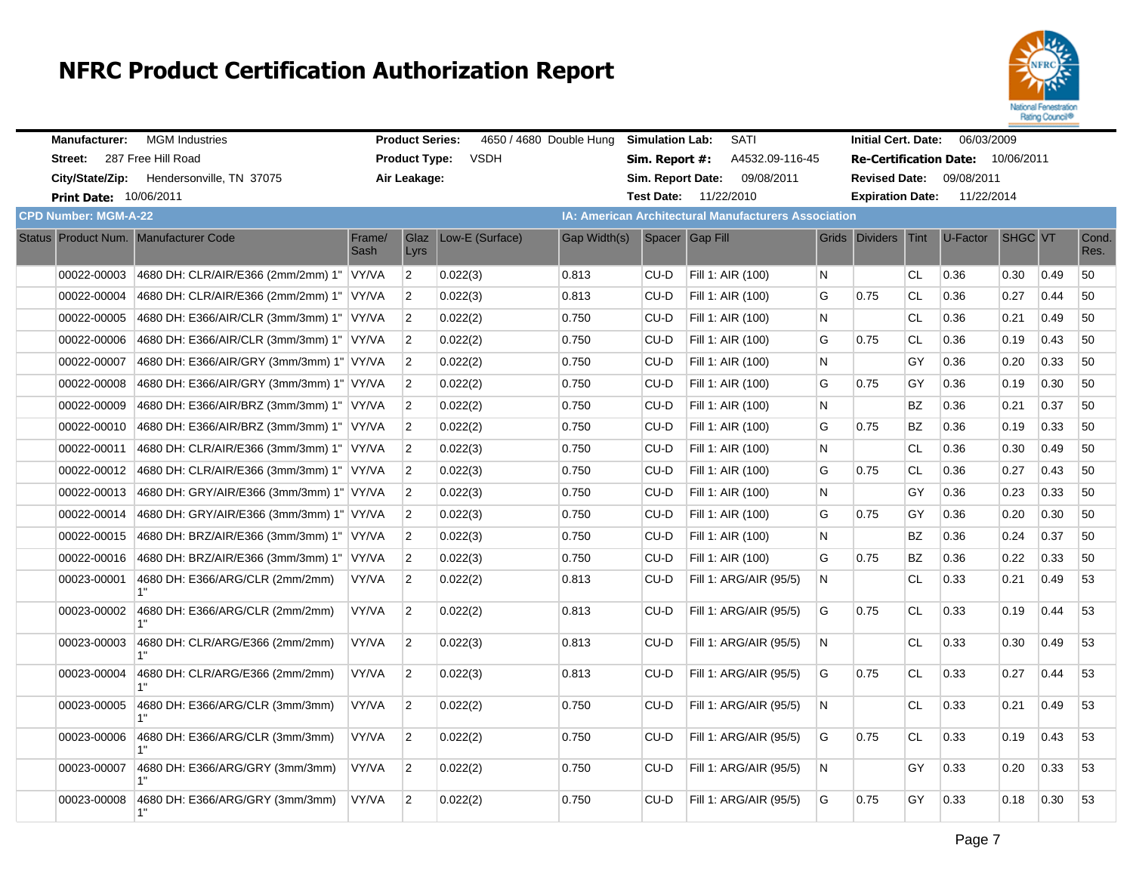

| <b>Manufacturer:</b>                  | <b>MGM Industries</b>                       |                | <b>Product Series:</b> | 4650 / 4680 Double Hung |              | <b>Simulation Lab:</b> | SATI                                                 |              | <b>Initial Cert. Date:</b> |           | 06/03/2009                        |                |      |               |
|---------------------------------------|---------------------------------------------|----------------|------------------------|-------------------------|--------------|------------------------|------------------------------------------------------|--------------|----------------------------|-----------|-----------------------------------|----------------|------|---------------|
| Street:                               | 287 Free Hill Road                          |                | <b>Product Type:</b>   | <b>VSDH</b>             |              | Sim. Report #:         | A4532.09-116-45                                      |              |                            |           | Re-Certification Date: 10/06/2011 |                |      |               |
|                                       | City/State/Zip: Hendersonville, TN 37075    |                | Air Leakage:           |                         |              | Sim. Report Date:      | 09/08/2011                                           |              |                            |           | <b>Revised Date: 09/08/2011</b>   |                |      |               |
| Print Date: 10/06/2011                |                                             |                |                        |                         |              |                        | Test Date: 11/22/2010                                |              | <b>Expiration Date:</b>    |           | 11/22/2014                        |                |      |               |
| <b>CPD Number: MGM-A-22</b>           |                                             |                |                        |                         |              |                        | IA: American Architectural Manufacturers Association |              |                            |           |                                   |                |      |               |
| Status Product Num. Manufacturer Code |                                             | Frame/<br>Sash | Glaz<br>Lyrs           | Low-E (Surface)         | Gap Width(s) |                        | Spacer Gap Fill                                      |              | Grids Dividers             | Tint      | U-Factor                          | <b>SHGC VT</b> |      | Cond.<br>Res. |
| 00022-00003                           | 4680 DH: CLR/AIR/E366 (2mm/2mm) 1"          | VY/VA          | $\overline{2}$         | 0.022(3)                | 0.813        | CU-D                   | Fill 1: AIR (100)                                    | N            |                            | СL        | 0.36                              | 0.30           | 0.49 | 50            |
| 00022-00004                           | 4680 DH: CLR/AIR/E366 (2mm/2mm) 1"          | VY/VA          | $\overline{2}$         | 0.022(3)                | 0.813        | CU-D                   | Fill 1: AIR (100)                                    | G            | 0.75                       | <b>CL</b> | 0.36                              | 0.27           | 0.44 | 50            |
| 00022-00005                           | 4680 DH: E366/AIR/CLR (3mm/3mm) 1" VY/VA    |                | $\overline{2}$         | 0.022(2)                | 0.750        | CU-D                   | Fill 1: AIR (100)                                    | N.           |                            | CL        | 0.36                              | 0.21           | 0.49 | 50            |
| 00022-00006                           | 4680 DH: E366/AIR/CLR (3mm/3mm) 1"          | VY/VA          | $\overline{2}$         | 0.022(2)                | 0.750        | CU-D                   | Fill 1: AIR (100)                                    | G            | 0.75                       | СL        | 0.36                              | 0.19           | 0.43 | 50            |
| 00022-00007                           | 4680 DH: E366/AIR/GRY (3mm/3mm) 1" VY/VA    |                | $\overline{2}$         | 0.022(2)                | 0.750        | CU-D                   | Fill 1: AIR (100)                                    | N            |                            | GY        | 0.36                              | 0.20           | 0.33 | 50            |
| 00022-00008                           | 4680 DH: E366/AIR/GRY (3mm/3mm) 1" VY/VA    |                | $\overline{2}$         | 0.022(2)                | 0.750        | CU-D                   | Fill 1: AIR (100)                                    | G            | 0.75                       | GY        | 0.36                              | 0.19           | 0.30 | 50            |
| 00022-00009                           | 4680 DH: E366/AIR/BRZ (3mm/3mm) 1"          | VY/VA          | $\overline{2}$         | 0.022(2)                | 0.750        | CU-D                   | Fill 1: AIR (100)                                    | N.           |                            | <b>BZ</b> | 0.36                              | 0.21           | 0.37 | 50            |
| 00022-00010                           | 4680 DH: E366/AIR/BRZ (3mm/3mm) 1"          | VY/VA          | $\overline{2}$         | 0.022(2)                | 0.750        | CU-D                   | Fill 1: AIR (100)                                    | G            | 0.75                       | BZ        | 0.36                              | 0.19           | 0.33 | 50            |
| 00022-00011                           | 4680 DH: CLR/AIR/E366 (3mm/3mm) 1"          | VY/VA          | $\overline{2}$         | 0.022(3)                | 0.750        | CU-D                   | Fill 1: AIR (100)                                    | N            |                            | СL        | 0.36                              | 0.30           | 0.49 | 50            |
| 00022-00012                           | 4680 DH: CLR/AIR/E366 (3mm/3mm) 1"          | VY/VA          | $\overline{2}$         | 0.022(3)                | 0.750        | CU-D                   | Fill 1: AIR (100)                                    | G            | 0.75                       | CL        | 0.36                              | 0.27           | 0.43 | 50            |
| 00022-00013                           | 4680 DH: GRY/AIR/E366 (3mm/3mm) 1"          | VY/VA          | $\overline{2}$         | 0.022(3)                | 0.750        | CU-D                   | Fill 1: AIR (100)                                    | N            |                            | GY        | 0.36                              | 0.23           | 0.33 | 50            |
| 00022-00014                           | 4680 DH: GRY/AIR/E366 (3mm/3mm) 1" VY/VA    |                | $\overline{2}$         | 0.022(3)                | 0.750        | CU-D                   | Fill 1: AIR (100)                                    | G            | 0.75                       | GY        | 0.36                              | 0.20           | 0.30 | 50            |
| 00022-00015                           | 4680 DH: BRZ/AIR/E366 (3mm/3mm) 1"          | VY/VA          | $\overline{2}$         | 0.022(3)                | 0.750        | CU-D                   | Fill 1: AIR (100)                                    | $\mathsf{N}$ |                            | BZ        | 0.36                              | 0.24           | 0.37 | 50            |
| 00022-00016                           | 4680 DH: BRZ/AIR/E366 (3mm/3mm) 1"          | VY/VA          | $\overline{2}$         | 0.022(3)                | 0.750        | CU-D                   | Fill 1: AIR (100)                                    | G            | 0.75                       | <b>BZ</b> | 0.36                              | 0.22           | 0.33 | 50            |
| 00023-00001                           | 4680 DH: E366/ARG/CLR (2mm/2mm)             | VY/VA          | $\overline{2}$         | 0.022(2)                | 0.813        | CU-D                   | Fill 1: ARG/AIR (95/5)                               | N            |                            | <b>CL</b> | 0.33                              | 0.21           | 0.49 | 53            |
| 00023-00002                           | 4680 DH: E366/ARG/CLR (2mm/2mm)             | VY/VA          | $\overline{2}$         | 0.022(2)                | 0.813        | CU-D                   | Fill 1: ARG/AIR (95/5)                               | G            | 0.75                       | СL        | 0.33                              | 0.19           | 0.44 | 53            |
|                                       | 00023-00003 4680 DH: CLR/ARG/E366 (2mm/2mm) | VY/VA          | $\overline{2}$         | 0.022(3)                | 0.813        | CU-D                   | Fill 1: ARG/AIR (95/5)                               | N            |                            | СL        | 0.33                              | 0.30           | 0.49 | 53            |
| 00023-00004                           | 4680 DH: CLR/ARG/E366 (2mm/2mm)             | VY/VA          | $\overline{2}$         | 0.022(3)                | 0.813        | CU-D                   | Fill 1: ARG/AIR (95/5)                               | G            | 0.75                       | СL        | 0.33                              | 0.27           | 0.44 | 53            |
| 00023-00005                           | 4680 DH: E366/ARG/CLR (3mm/3mm)             | VY/VA          | $\overline{2}$         | 0.022(2)                | 0.750        | CU-D                   | Fill 1: ARG/AIR (95/5)                               | N            |                            | <b>CL</b> | 0.33                              | 0.21           | 0.49 | 53            |
| 00023-00006                           | 4680 DH: E366/ARG/CLR (3mm/3mm)             | VY/VA          | $\overline{2}$         | 0.022(2)                | 0.750        | CU-D                   | Fill 1: ARG/AIR (95/5)                               | G            | 0.75                       | <b>CL</b> | 0.33                              | 0.19           | 0.43 | 53            |
| 00023-00007                           | 4680 DH: E366/ARG/GRY (3mm/3mm)<br>1"       | VY/VA          | $\overline{2}$         | 0.022(2)                | 0.750        | CU-D                   | Fill 1: ARG/AIR (95/5)                               | N            |                            | GY        | 0.33                              | 0.20           | 0.33 | 53            |
| 00023-00008                           | 4680 DH: E366/ARG/GRY (3mm/3mm)<br>1"       | VY/VA          | $\overline{2}$         | 0.022(2)                | 0.750        | CU-D                   | Fill 1: ARG/AIR (95/5)                               | G            | 0.75                       | GY        | 0.33                              | 0.18           | 0.30 | 53            |
|                                       |                                             |                |                        |                         |              |                        |                                                      |              |                            |           |                                   |                |      |               |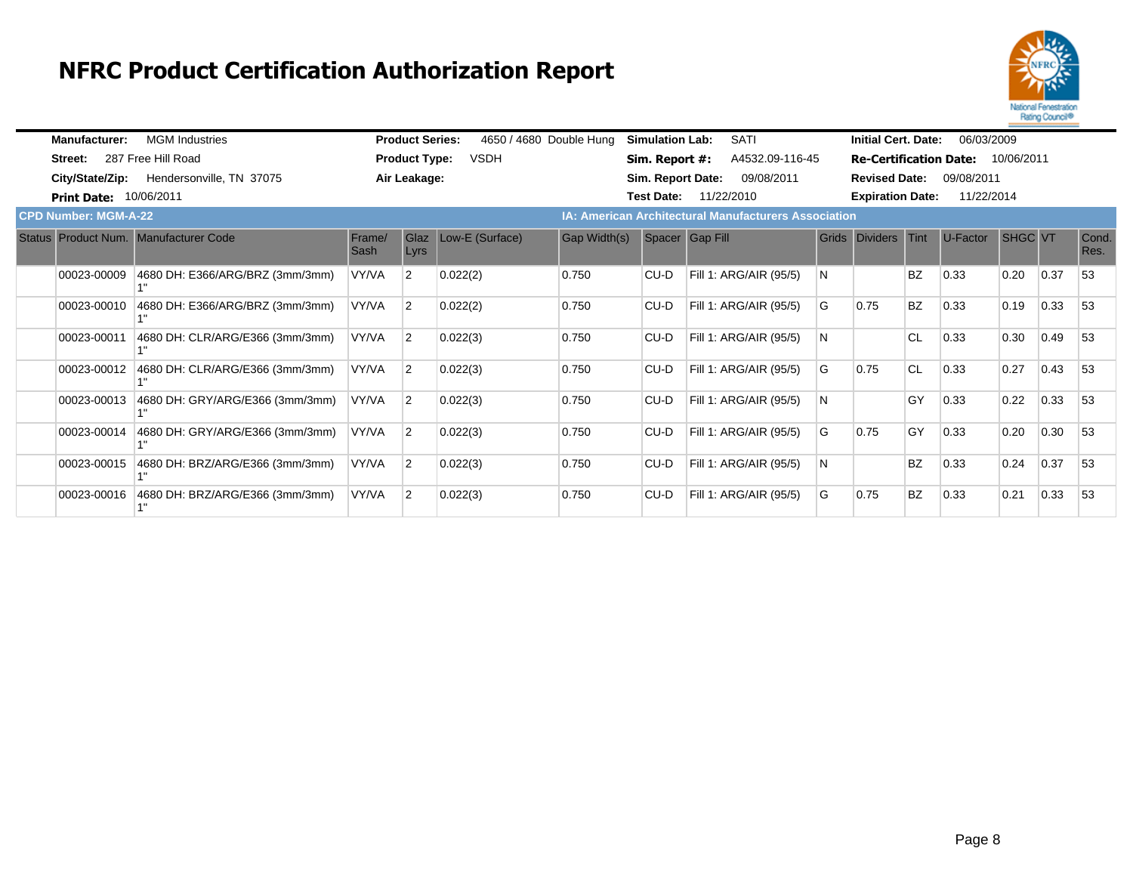

| <b>Manufacturer:</b>          | <b>MGM</b> Industries                 |                | <b>Product Series:</b> | 4650 / 4680 Double Hung |                     | <b>Simulation Lab:</b> | <b>SATI</b>                                                 |   | <b>Initial Cert. Date:</b>    |           | 06/03/2009 |                |      |               |
|-------------------------------|---------------------------------------|----------------|------------------------|-------------------------|---------------------|------------------------|-------------------------------------------------------------|---|-------------------------------|-----------|------------|----------------|------|---------------|
| Street:                       | 287 Free Hill Road                    |                | <b>Product Type:</b>   | <b>VSDH</b>             |                     | Sim. Report #:         | A4532.09-116-45                                             |   | <b>Re-Certification Date:</b> |           |            | 10/06/2011     |      |               |
| City/State/Zip:               | Hendersonville, TN 37075              |                | Air Leakage:           |                         |                     | Sim. Report Date:      | 09/08/2011                                                  |   | <b>Revised Date:</b>          |           | 09/08/2011 |                |      |               |
| <b>Print Date: 10/06/2011</b> |                                       |                |                        |                         |                     |                        | <b>Test Date: 11/22/2010</b>                                |   | <b>Expiration Date:</b>       |           | 11/22/2014 |                |      |               |
| <b>CPD Number: MGM-A-22</b>   |                                       |                |                        |                         |                     |                        | <b>IA: American Architectural Manufacturers Association</b> |   |                               |           |            |                |      |               |
|                               |                                       |                |                        |                         |                     |                        |                                                             |   |                               |           |            |                |      |               |
|                               | Status Product Num. Manufacturer Code | Frame/<br>Sash | Glaz<br>Lyrs           | Low-E (Surface)         | <b>Gap Width(s)</b> |                        | Spacer Gap Fill                                             |   | Grids Dividers Tint           |           | U-Factor   | <b>SHGC VT</b> |      | Cond.<br>Res. |
| 00023-00009                   | 4680 DH: E366/ARG/BRZ (3mm/3mm)       | VY/VA          | $\overline{2}$         | 0.022(2)                | 0.750               | CU-D                   | Fill 1: ARG/AIR (95/5)                                      | N |                               | <b>BZ</b> | 0.33       | 0.20           | 0.37 | 53            |
| 00023-00010                   | 4680 DH: E366/ARG/BRZ (3mm/3mm)       | VY/VA          | $\overline{2}$         | 0.022(2)                | 0.750               | CU-D                   | Fill 1: ARG/AIR (95/5)                                      | G | 0.75                          | <b>BZ</b> | 0.33       | 0.19           | 0.33 | 53            |
| 00023-00011                   | 4680 DH: CLR/ARG/E366 (3mm/3mm)       | VY/VA          | 2                      | 0.022(3)                | 0.750               | CU-D                   | Fill 1: ARG/AIR (95/5)                                      | N |                               | <b>CL</b> | 0.33       | 0.30           | 0.49 | 53            |
| 00023-00012                   | 4680 DH: CLR/ARG/E366 (3mm/3mm)       | VY/VA          | $\overline{2}$         | 0.022(3)                | 0.750               | CU-D                   | Fill 1: ARG/AIR (95/5)                                      | G | 0.75                          | <b>CL</b> | 0.33       | 0.27           | 0.43 | 53            |
| 00023-00013                   | 4680 DH: GRY/ARG/E366 (3mm/3mm)       | VY/VA          | $\overline{2}$         | 0.022(3)                | 0.750               | CU-D                   | Fill 1: ARG/AIR (95/5)                                      | N |                               | GY        | 0.33       | 0.22           | 0.33 | 53            |
| 00023-00014                   | 4680 DH: GRY/ARG/E366 (3mm/3mm)       | VY/VA          | 2                      | 0.022(3)                | 0.750               | CU-D                   | Fill 1: ARG/AIR (95/5)                                      | G | 0.75                          | GY        | 0.33       | 0.20           | 0.30 | 53            |
| 00023-00015                   | 4680 DH: BRZ/ARG/E366 (3mm/3mm)       | VY/VA          | $\overline{2}$         | 0.022(3)                | 0.750               | CU-D                   | Fill 1: ARG/AIR (95/5)                                      | N |                               | <b>BZ</b> | 0.33       | 0.24           | 0.37 | 53            |
| 00023-00016                   | 4680 DH: BRZ/ARG/E366 (3mm/3mm)       | VY/VA          | $\overline{2}$         | 0.022(3)                | 0.750               | CU-D                   | Fill 1: ARG/AIR (95/5)                                      | G | 0.75                          | <b>BZ</b> | 0.33       | 0.21           | 0.33 | 53            |